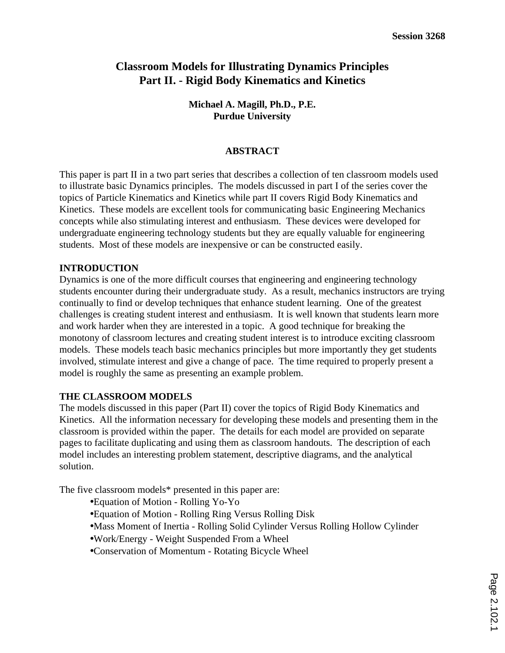# **Classroom Models for Illustrating Dynamics Principles Part II. - Rigid Body Kinematics and Kinetics**

**Michael A. Magill, Ph.D., P.E. Purdue University**

### **ABSTRACT**

This paper is part II in a two part series that describes a collection of ten classroom models used to illustrate basic Dynamics principles. The models discussed in part I of the series cover the topics of Particle Kinematics and Kinetics while part II covers Rigid Body Kinematics and Kinetics. These models are excellent tools for communicating basic Engineering Mechanics concepts while also stimulating interest and enthusiasm. These devices were developed for undergraduate engineering technology students but they are equally valuable for engineering students. Most of these models are inexpensive or can be constructed easily.

### **INTRODUCTION**

Dynamics is one of the more difficult courses that engineering and engineering technology students encounter during their undergraduate study. As a result, mechanics instructors are trying continually to find or develop techniques that enhance student learning. One of the greatest challenges is creating student interest and enthusiasm. It is well known that students learn more and work harder when they are interested in a topic. A good technique for breaking the monotony of classroom lectures and creating student interest is to introduce exciting classroom models. These models teach basic mechanics principles but more importantly they get students involved, stimulate interest and give a change of pace. The time required to properly present a model is roughly the same as presenting an example problem.

#### **THE CLASSROOM MODELS**

The models discussed in this paper (Part II) cover the topics of Rigid Body Kinematics and Kinetics. All the information necessary for developing these models and presenting them in the classroom is provided within the paper. The details for each model are provided on separate pages to facilitate duplicating and using them as classroom handouts. The description of each model includes an interesting problem statement, descriptive diagrams, and the analytical solution.

The five classroom models\* presented in this paper are:

- Equation of Motion Rolling Yo-Yo
- Equation of Motion Rolling Ring Versus Rolling Disk
- Mass Moment of Inertia Rolling Solid Cylinder Versus Rolling Hollow Cylinder
- Work/Energy Weight Suspended From a Wheel
- Conservation of Momentum Rotating Bicycle Wheel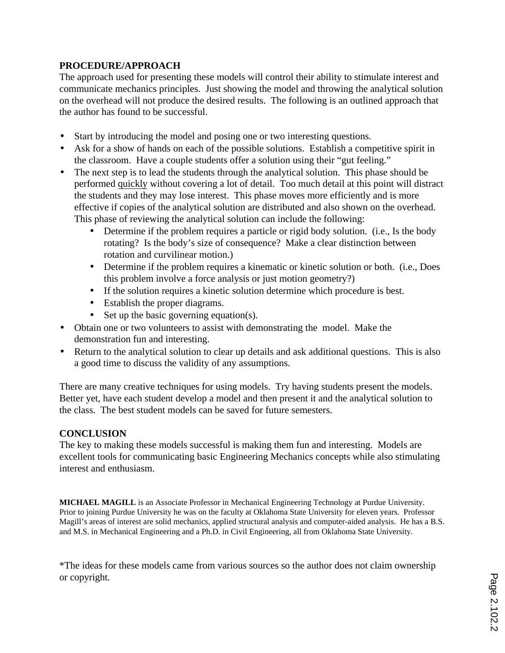## **PROCEDURE/APPROACH**

The approach used for presenting these models will control their ability to stimulate interest and communicate mechanics principles. Just showing the model and throwing the analytical solution on the overhead will not produce the desired results. The following is an outlined approach that the author has found to be successful.

- Start by introducing the model and posing one or two interesting questions.
- Ask for a show of hands on each of the possible solutions. Establish a competitive spirit in the classroom. Have a couple students offer a solution using their "gut feeling."
- The next step is to lead the students through the analytical solution. This phase should be performed quickly without covering a lot of detail. Too much detail at this point will distract the students and they may lose interest. This phase moves more efficiently and is more effective if copies of the analytical solution are distributed and also shown on the overhead. This phase of reviewing the analytical solution can include the following:
	- Determine if the problem requires a particle or rigid body solution. (i.e., Is the body rotating? Is the body's size of consequence? Make a clear distinction between rotation and curvilinear motion.)
	- Determine if the problem requires a kinematic or kinetic solution or both. (i.e., Does this problem involve a force analysis or just motion geometry?)
	- If the solution requires a kinetic solution determine which procedure is best.
	- Establish the proper diagrams.
	- Set up the basic governing equation(s).
- Obtain one or two volunteers to assist with demonstrating the model. Make the demonstration fun and interesting.
- Return to the analytical solution to clear up details and ask additional questions. This is also a good time to discuss the validity of any assumptions.

There are many creative techniques for using models. Try having students present the models. Better yet, have each student develop a model and then present it and the analytical solution to the class. The best student models can be saved for future semesters.

## **CONCLUSION**

The key to making these models successful is making them fun and interesting. Models are excellent tools for communicating basic Engineering Mechanics concepts while also stimulating interest and enthusiasm.

**MICHAEL MAGILL** is an Associate Professor in Mechanical Engineering Technology at Purdue University. Prior to joining Purdue University he was on the faculty at Oklahoma State University for eleven years. Professor Magill's areas of interest are solid mechanics, applied structural analysis and computer-aided analysis. He has a B.S. and M.S. in Mechanical Engineering and a Ph.D. in Civil Engineering, all from Oklahoma State University.

\*The ideas for these models came from various sources so the author does not claim ownership or copyright.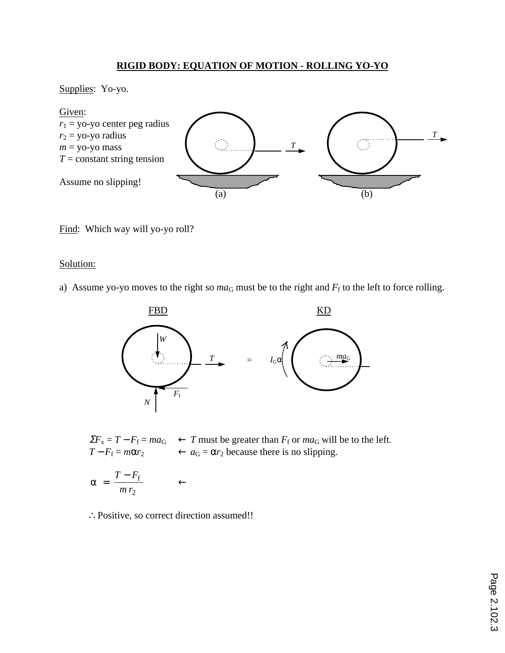## **RIGID BODY: EQUATION OF MOTION - ROLLING YO-YO**

Supplies: Yo-yo.



Find: Which way will yo-yo roll?

### Solution:

a) Assume yo-yo moves to the right so  $ma<sub>G</sub>$  must be to the right and  $F<sub>f</sub>$  to the left to force rolling.



 $\Sigma F_x = T - F_f = ma_G \leftarrow T$  must be greater than  $F_f$  or  $ma_G$  will be to the left.<br>  $T - F_f = m\alpha r_2 \leftarrow a_G = \alpha r_2$  because there is no slipping.  $\leftarrow a_G = \alpha r_2$  because there is no slipping.

$$
\alpha = \frac{T - F_{\rm f}}{m r_2} \qquad \leftarrow
$$

∴Positive, so correct direction assumed!!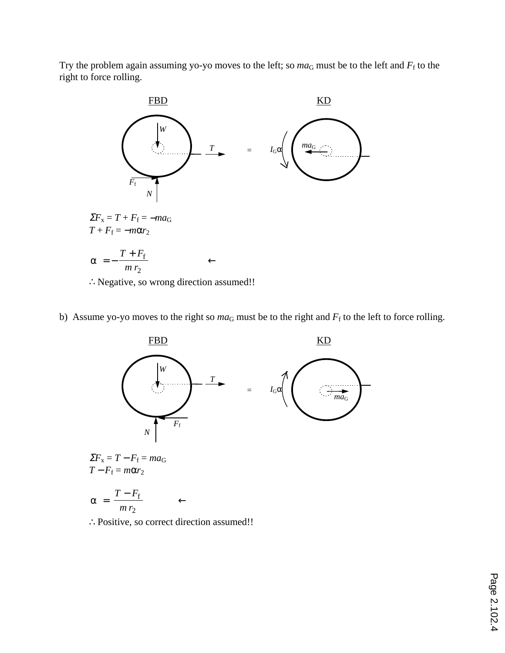Try the problem again assuming yo-yo moves to the left; so  $ma<sub>G</sub>$  must be to the left and  $F<sub>f</sub>$  to the right to force rolling.



b) Assume yo-yo moves to the right so  $ma_G$  must be to the right and  $F_f$  to the left to force rolling.



$$
T - F_{\rm f}
$$

$$
\alpha = \frac{1 - r_{\rm f}}{m r_2} \qquad \leftarrow
$$

∴Positive, so correct direction assumed!!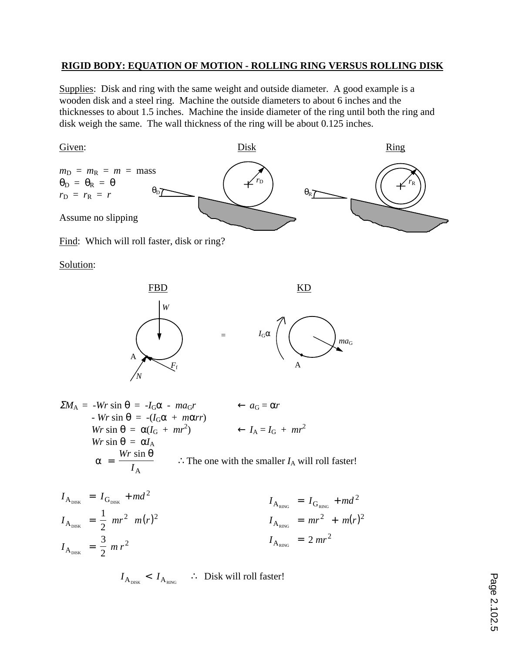### **RIGID BODY: EQUATION OF MOTION - ROLLING RING VERSUS ROLLING DISK**

Supplies: Disk and ring with the same weight and outside diameter. A good example is a wooden disk and a steel ring. Machine the outside diameters to about 6 inches and the thicknesses to about 1.5 inches. Machine the inside diameter of the ring until both the ring and disk weigh the same. The wall thickness of the ring will be about 0.125 inches.



Find: Which will roll faster, disk or ring?

Solution:



$$
\Sigma M_{\rm A} = -Wr \sin \theta = -I_{\rm G}\alpha - ma_{\rm G}r \leftarrow a_{\rm G} = \alpha r
$$
  
- *Wr* sin  $\theta = -(I_{\rm G}\alpha + m\alpha rr)$   
*Wr* sin  $\theta = \alpha(I_{\rm G} + mr^2)$   $\leftarrow I_{\rm A} = I_{\rm G} + mr^2$   
*Wr* sin  $\theta = \alpha I_{\rm A}$   
 $\alpha = \frac{Wr \sin \theta}{I_{\rm A}}$   $\therefore$  The one with the smaller  $I_{\rm A}$  will roll faster!

$$
I_{A_{\text{DISK}}} = I_{G_{\text{DISK}}} + md^2
$$
  
\n
$$
I_{A_{\text{DISK}}} = \frac{1}{2} mr^2 m(r)^2
$$
  
\n
$$
I_{A_{\text{RING}}} = mr^2 + m(r)^2
$$
  
\n
$$
I_{A_{\text{RING}}} = mr^2 + m(r)^2
$$
  
\n
$$
I_{A_{\text{RING}}} = mr^2 + m(r)^2
$$
  
\n
$$
I_{A_{\text{RING}}} = 2 mr^2
$$

 $I_{\rm A_{\rm DISK}}$  <  $I_{\rm A_{\rm RING}}$ ∴ Disk will roll faster!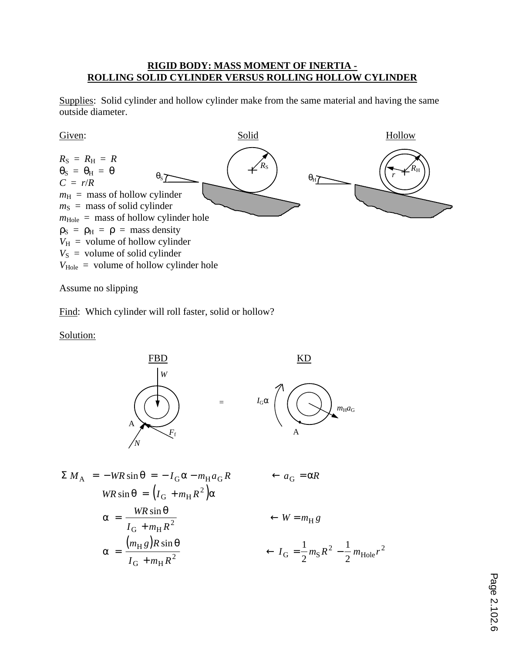### **RIGID BODY: MASS MOMENT OF INERTIA - ROLLING SOLID CYLINDER VERSUS ROLLING HOLLOW CYLINDER**

Supplies: Solid cylinder and hollow cylinder make from the same material and having the same outside diameter.



Assume no slipping

Find: Which cylinder will roll faster, solid or hollow?

Solution:



$$
\Sigma M_{\rm A} = -WR \sin \theta = -I_{\rm G} \alpha - m_{\rm H} a_{\rm G} R \qquad \leftarrow a_{\rm G} = \alpha R
$$
  
\n
$$
WR \sin \theta = (I_{\rm G} + m_{\rm H} R^2) \alpha
$$
  
\n
$$
\alpha = \frac{WR \sin \theta}{I_{\rm G} + m_{\rm H} R^2} \qquad \leftarrow W = m_{\rm H} g
$$
  
\n
$$
\alpha = \frac{(m_{\rm H} g)R \sin \theta}{I_{\rm G} + m_{\rm H} R^2} \qquad \leftarrow I_{\rm G} = \frac{1}{2} m_{\rm S} R^2 - \frac{1}{2} m_{\rm Hole} r^2
$$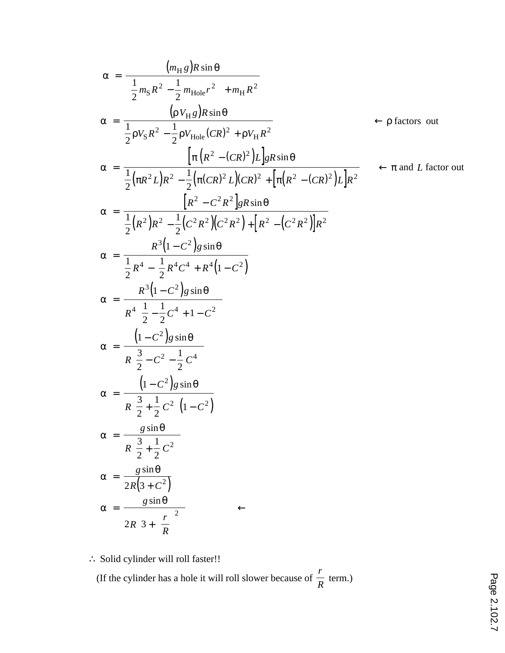$$
\alpha = \frac{(m_{\rm H}g)R\sin\theta}{\left(\frac{1}{2}m_{\rm S}R^2 - \frac{1}{2}m_{\rm Hole}r^2\right) + m_{\rm H}R^2}
$$
\n
$$
\alpha = \frac{(pV_{\rm H}g)R\sin\theta}{\frac{1}{2}pV_{\rm S}R^2 - \frac{1}{2}pV_{\rm Hole}(CR)^2 + pV_{\rm H}R^2}
$$
\n
$$
\alpha = \frac{\left[\pi (R^2 - (CR)^2)L\right]gR\sin\theta}{\frac{1}{2}(\pi R^2L)R^2 - \frac{1}{2}(\pi (CR)^2L)(CR)^2 + \left[\pi (R^2 - (CR)^2)L\right]R^2}
$$
\n
$$
\alpha = \frac{\left[R^2 - C^2R^2\right]gR\sin\theta}{\frac{1}{2}(R^2)R^2 - \frac{1}{2}(C^2R^2)(C^2R^2) + \left[R^2 - (C^2R^2)\right]R^2}
$$
\n
$$
\alpha = \frac{R^3(1 - C^2)g\sin\theta}{\frac{1}{2}R^4 - \frac{1}{2}R^4C^4 + R^4(1 - C^2)}
$$
\n
$$
\alpha = \frac{R^3(1 - C^2)g\sin\theta}{\pi^4(\frac{1}{2} - \frac{1}{2}C^4 + 1 - C^2)}
$$
\n
$$
\alpha = \frac{(1 - C^2)g\sin\theta}{R(\frac{3}{2} - C^2 - \frac{1}{2}C^4)}
$$
\n
$$
\alpha = \frac{(1 - C^2)g\sin\theta}{R(\frac{3}{2} + \frac{1}{2}C^2)(1 - C^2)}
$$
\n
$$
\alpha = \frac{g\sin\theta}{R(\frac{3}{2} + \frac{1}{2}C^2)}
$$
\n
$$
\alpha = \frac{g\sin\theta}{R(\frac{3}{2} + \frac{1}{2}C^2)}
$$
\n
$$
\alpha = \frac{g\sin\theta}{2R(3 + C^2)}
$$
\n
$$
\alpha = \frac{g\sin\theta}{2R(3 + \left(\frac{r}{R}\right)^2)}
$$

∴ Solid cylinder will roll faster!!

 (If the cylinder has a hole it will roll slower because of *r*  $\frac{1}{R}$  term.)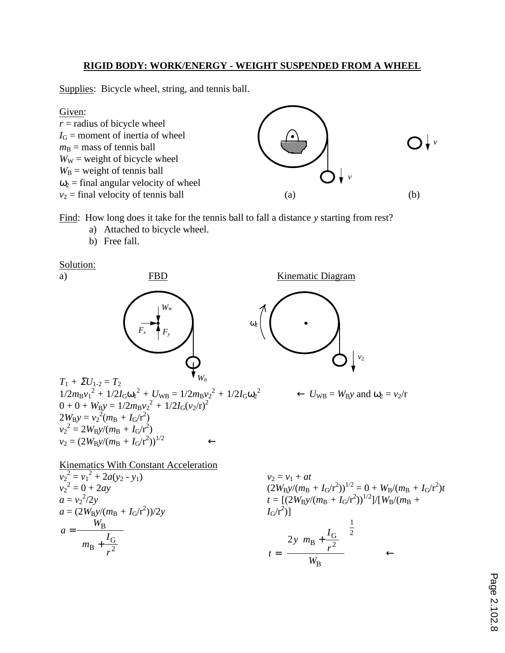### **RIGID BODY: WORK/ENERGY - WEIGHT SUSPENDED FROM A WHEEL**

Supplies: Bicycle wheel, string, and tennis ball.



Find: How long does it take for the tennis ball to fall a distance *y* starting from rest?

- a) Attached to bicycle wheel.
- b) Free fall.

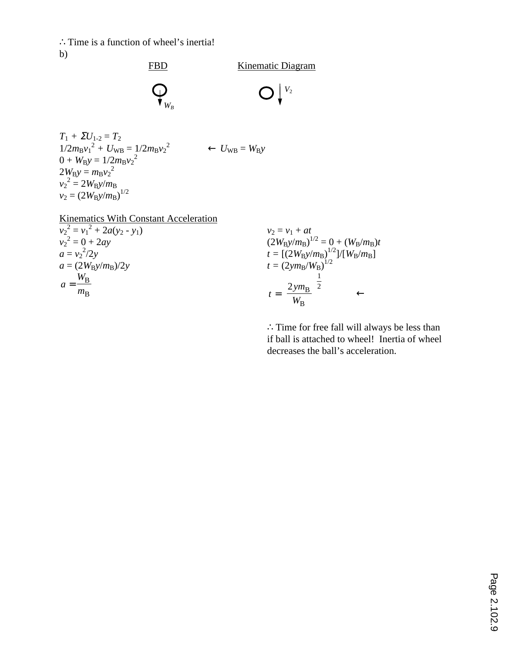∴Time is a function of wheel's inertia! b)



$$
T_1 + \Sigma U_{1\text{-}2} = T_2
$$
  
\n
$$
1/2m_Bv_1^2 + U_{WB} = 1/2m_Bv_2^2 \leftarrow U_{WB} = W_By
$$
  
\n
$$
0 + W_By = 1/2m_Bv_2^2
$$
  
\n
$$
2W_By = m_Bv_2^2
$$
  
\n
$$
v_2^2 = 2W_By/m_B
$$
  
\n
$$
v_2 = (2W_By/m_B)^{1/2}
$$

Kinematics With Constant Acceleration  $v_2^2 = v_1^2 + 2a(y_2 - y_1)$  $v_2^2 = 0 + 2ay$  $a = v_2^2/2y$  $a = (2W_B y/m_B)/2y$ *a*  $=\frac{W_{\rm B}}{m_{\rm B}}$ 

 $v_2 = v_1 + at$  $(2W_B y/m_B)^{1/2} = 0 + (W_B/m_B)t$  $t = [(2W_B y/m_B)^{1/2}]/[W_B/m_B]$  $t = (2ym_B/W_B)^{1/2}$  $t = \left[\frac{2ym}{W_B}\right]$  $\left|\frac{2ym_B}{W}\right|$  $\overline{\phantom{a}}$  $\frac{2ym_B}{W}$ 1  $\mathbf{B}$  |2 B ←

∴Time for free fall will always be less than if ball is attached to wheel! Inertia of wheel decreases the ball's acceleration.